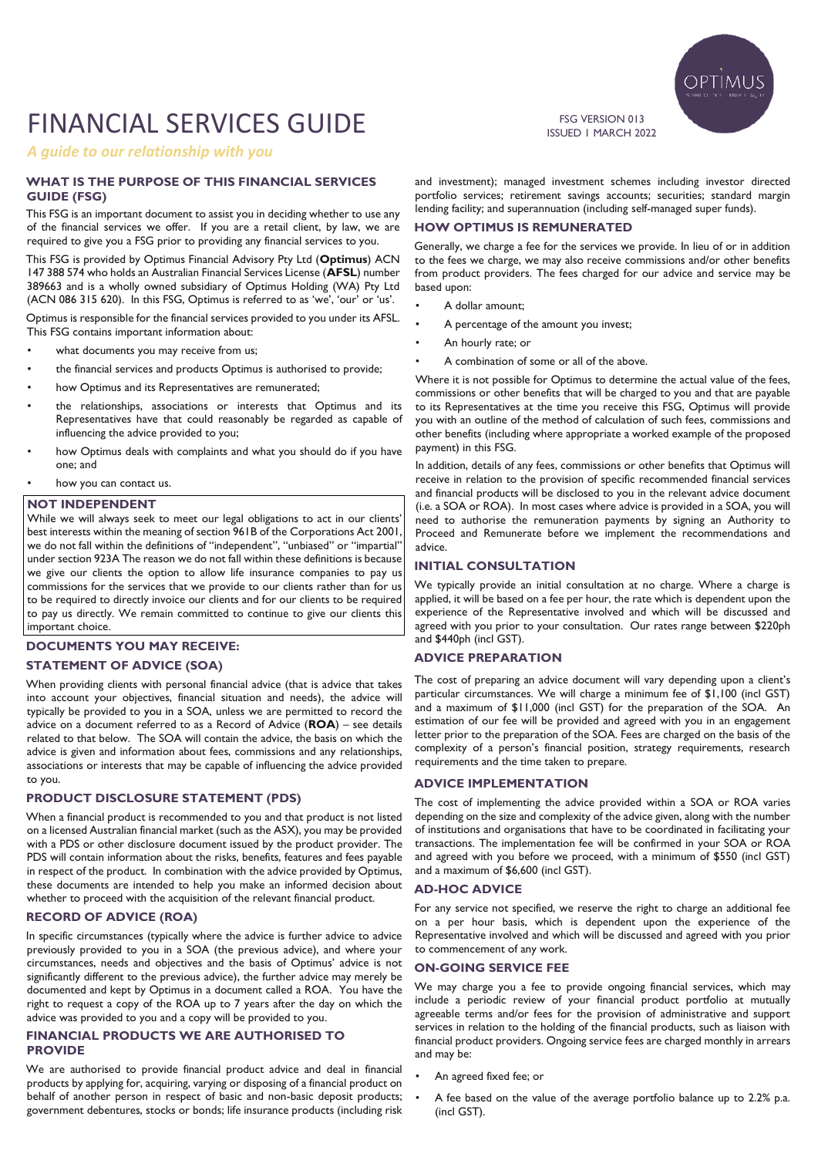# FINANCIAL SERVICES GUIDE

*A guide to our relationship with you*

## **WHAT IS THE PURPOSE OF THIS FINANCIAL SERVICES GUIDE (FSG)**

This FSG is an important document to assist you in deciding whether to use any of the financial services we offer. If you are a retail client, by law, we are required to give you a FSG prior to providing any financial services to you.

This FSG is provided by Optimus Financial Advisory Pty Ltd (**Optimus**) ACN 147 388 574 who holds an Australian Financial Services License (**AFSL**) number 389663 and is a wholly owned subsidiary of Optimus Holding (WA) Pty Ltd (ACN 086 315 620). In this FSG, Optimus is referred to as 'we', 'our' or 'us'.

Optimus is responsible for the financial services provided to you under its AFSL. This FSG contains important information about:

- what documents you may receive from us;
- the financial services and products Optimus is authorised to provide;
- how Optimus and its Representatives are remunerated;
- the relationships, associations or interests that Optimus and its Representatives have that could reasonably be regarded as capable of influencing the advice provided to you;
- how Optimus deals with complaints and what you should do if you have one; and
- how you can contact us.

## **NOT INDEPENDENT**

While we will always seek to meet our legal obligations to act in our clients' best interests within the meaning of section 961B of the Corporations Act 2001, we do not fall within the definitions of "independent", "unbiased" or "impartial" under section 923A The reason we do not fall within these definitions is because we give our clients the option to allow life insurance companies to pay us commissions for the services that we provide to our clients rather than for us to be required to directly invoice our clients and for our clients to be required to pay us directly. We remain committed to continue to give our clients this important choice.

# **DOCUMENTS YOU MAY RECEIVE:**

# **STATEMENT OF ADVICE (SOA)**

When providing clients with personal financial advice (that is advice that takes into account your objectives, financial situation and needs), the advice will typically be provided to you in a SOA, unless we are permitted to record the advice on a document referred to as a Record of Advice (**ROA**) – see details related to that below. The SOA will contain the advice, the basis on which the advice is given and information about fees, commissions and any relationships, associations or interests that may be capable of influencing the advice provided to you.

#### **PRODUCT DISCLOSURE STATEMENT (PDS)**

When a financial product is recommended to you and that product is not listed on a licensed Australian financial market (such as the ASX), you may be provided with a PDS or other disclosure document issued by the product provider. The PDS will contain information about the risks, benefits, features and fees payable in respect of the product. In combination with the advice provided by Optimus, these documents are intended to help you make an informed decision about whether to proceed with the acquisition of the relevant financial product.

## **RECORD OF ADVICE (ROA)**

In specific circumstances (typically where the advice is further advice to advice previously provided to you in a SOA (the previous advice), and where your circumstances, needs and objectives and the basis of Optimus' advice is not significantly different to the previous advice), the further advice may merely be documented and kept by Optimus in a document called a ROA. You have the right to request a copy of the ROA up to 7 years after the day on which the advice was provided to you and a copy will be provided to you.

## **FINANCIAL PRODUCTS WE ARE AUTHORISED TO PROVIDE**

We are authorised to provide financial product advice and deal in financial products by applying for, acquiring, varying or disposing of a financial product on behalf of another person in respect of basic and non-basic deposit products; government debentures, stocks or bonds; life insurance products (including risk and investment); managed investment schemes including investor directed portfolio services; retirement savings accounts; securities; standard margin lending facility; and superannuation (including self-managed super funds).

#### **HOW OPTIMUS IS REMUNERATED**

Generally, we charge a fee for the services we provide. In lieu of or in addition to the fees we charge, we may also receive commissions and/or other benefits from product providers. The fees charged for our advice and service may be based upon:

- A dollar amount;
- A percentage of the amount you invest;
- An hourly rate; or
- A combination of some or all of the above.

Where it is not possible for Optimus to determine the actual value of the fees, commissions or other benefits that will be charged to you and that are payable to its Representatives at the time you receive this FSG, Optimus will provide you with an outline of the method of calculation of such fees, commissions and other benefits (including where appropriate a worked example of the proposed payment) in this FSG.

In addition, details of any fees, commissions or other benefits that Optimus will receive in relation to the provision of specific recommended financial services and financial products will be disclosed to you in the relevant advice document (i.e. a SOA or ROA). In most cases where advice is provided in a SOA, you will need to authorise the remuneration payments by signing an Authority to Proceed and Remunerate before we implement the recommendations and advice.

## **INITIAL CONSULTATION**

We typically provide an initial consultation at no charge. Where a charge is applied, it will be based on a fee per hour, the rate which is dependent upon the experience of the Representative involved and which will be discussed and agreed with you prior to your consultation. Our rates range between \$220ph and \$440ph (incl GST).

# **ADVICE PREPARATION**

The cost of preparing an advice document will vary depending upon a client's particular circumstances. We will charge a minimum fee of \$1,100 (incl GST) and a maximum of \$11,000 (incl GST) for the preparation of the SOA. An estimation of our fee will be provided and agreed with you in an engagement letter prior to the preparation of the SOA. Fees are charged on the basis of the complexity of a person's financial position, strategy requirements, research requirements and the time taken to prepare.

#### **ADVICE IMPLEMENTATION**

The cost of implementing the advice provided within a SOA or ROA varies depending on the size and complexity of the advice given, along with the number of institutions and organisations that have to be coordinated in facilitating your transactions. The implementation fee will be confirmed in your SOA or ROA and agreed with you before we proceed, with a minimum of \$550 (incl GST) and a maximum of \$6,600 (incl GST).

## **AD-HOC ADVICE**

For any service not specified, we reserve the right to charge an additional fee on a per hour basis, which is dependent upon the experience of the Representative involved and which will be discussed and agreed with you prior to commencement of any work.

## **ON-GOING SERVICE FEE**

We may charge you a fee to provide ongoing financial services, which may include a periodic review of your financial product portfolio at mutually agreeable terms and/or fees for the provision of administrative and support services in relation to the holding of the financial products, such as liaison with financial product providers. Ongoing service fees are charged monthly in arrears and may be:

- An agreed fixed fee; or
- A fee based on the value of the average portfolio balance up to 2.2% p.a. (incl GST).



FSG VERSION 013 ISSUED 1 MARCH 2022